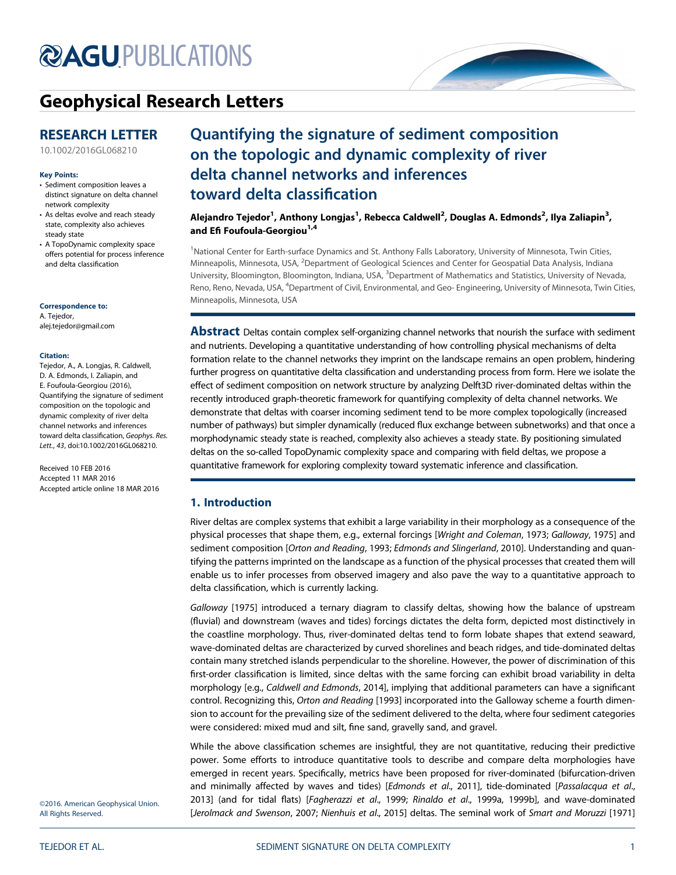# **@AGU[PUBLICATIONS](http://publications.agu.org/journals/)**



# [Geophysical Research Letters](http://onlinelibrary.wiley.com/journal/10.1002/(ISSN)1944-8007)

## RESEARCH LETTER

[10.1002/2016GL068210](http://dx.doi.org/10.1002/2016GL068210)

#### Key Points:

- Sediment composition leaves a distinct signature on delta channel network complexity
- As deltas evolve and reach steady state, complexity also achieves steady state
- A TopoDynamic complexity space offers potential for process inference and delta classification

#### Correspondence to:

A. Tejedor, alej.tejedor@gmail.com

#### Citation:

Tejedor, A., A. Longjas, R. Caldwell, D. A. Edmonds, I. Zaliapin, and E. Foufoula-Georgiou (2016), Quantifying the signature of sediment composition on the topologic and dynamic complexity of river delta channel networks and inferences toward delta classification, Geophys. Res. Lett., 43, doi:10.1002/2016GL068210.

Received 10 FEB 2016 Accepted 11 MAR 2016 Accepted article online 18 MAR 2016

# Quantifying the signature of sediment composition on the topologic and dynamic complexity of river delta channel networks and inferences toward delta classification

Alejandro Tejedor<sup>1</sup>, Anthony Longjas<sup>1</sup>, Rebecca Caldwell<sup>2</sup>, Douglas A. Edmonds<sup>2</sup>, Ilya Zaliapin<sup>3</sup>, and Efi Foufoula-Georgiou<sup>1,4</sup>

<sup>1</sup>National Center for Earth-surface Dynamics and St. Anthony Falls Laboratory, University of Minnesota, Twin Cities, Minneapolis, Minnesota, USA, <sup>2</sup>Department of Geological Sciences and Center for Geospatial Data Analysis, Indiana University, Bloomington, Bloomington, Indiana, USA, <sup>3</sup>Department of Mathematics and Statistics, University of Nevada, Reno, Reno, Nevada, USA, <sup>4</sup>Department of Civil, Environmental, and Geo- Engineering, University of Minnesota, Twin Cities, Minneapolis, Minnesota, USA

**Abstract** Deltas contain complex self-organizing channel networks that nourish the surface with sediment and nutrients. Developing a quantitative understanding of how controlling physical mechanisms of delta formation relate to the channel networks they imprint on the landscape remains an open problem, hindering further progress on quantitative delta classification and understanding process from form. Here we isolate the effect of sediment composition on network structure by analyzing Delft3D river-dominated deltas within the recently introduced graph-theoretic framework for quantifying complexity of delta channel networks. We demonstrate that deltas with coarser incoming sediment tend to be more complex topologically (increased number of pathways) but simpler dynamically (reduced flux exchange between subnetworks) and that once a morphodynamic steady state is reached, complexity also achieves a steady state. By positioning simulated deltas on the so-called TopoDynamic complexity space and comparing with field deltas, we propose a quantitative framework for exploring complexity toward systematic inference and classification.

### 1. Introduction

River deltas are complex systems that exhibit a large variability in their morphology as a consequence of the physical processes that shape them, e.g., external forcings [Wright and Coleman, 1973; Galloway, 1975] and sediment composition [Orton and Reading, 1993; Edmonds and Slingerland, 2010]. Understanding and quantifying the patterns imprinted on the landscape as a function of the physical processes that created them will enable us to infer processes from observed imagery and also pave the way to a quantitative approach to delta classification, which is currently lacking.

Galloway [1975] introduced a ternary diagram to classify deltas, showing how the balance of upstream (fluvial) and downstream (waves and tides) forcings dictates the delta form, depicted most distinctively in the coastline morphology. Thus, river-dominated deltas tend to form lobate shapes that extend seaward, wave-dominated deltas are characterized by curved shorelines and beach ridges, and tide-dominated deltas contain many stretched islands perpendicular to the shoreline. However, the power of discrimination of this first-order classification is limited, since deltas with the same forcing can exhibit broad variability in delta morphology [e.g., Caldwell and Edmonds, 2014], implying that additional parameters can have a significant control. Recognizing this, Orton and Reading [1993] incorporated into the Galloway scheme a fourth dimension to account for the prevailing size of the sediment delivered to the delta, where four sediment categories were considered: mixed mud and silt, fine sand, gravelly sand, and gravel.

While the above classification schemes are insightful, they are not quantitative, reducing their predictive power. Some efforts to introduce quantitative tools to describe and compare delta morphologies have emerged in recent years. Specifically, metrics have been proposed for river-dominated (bifurcation-driven and minimally affected by waves and tides) [Edmonds et al., 2011], tide-dominated [Passalacqua et al., 2013] (and for tidal flats) [Fagherazzi et al., 1999; Rinaldo et al., 1999a, 1999b], and wave-dominated [Jerolmack and Swenson, 2007; Nienhuis et al., 2015] deltas. The seminal work of Smart and Moruzzi [1971]

©2016. American Geophysical Union. All Rights Reserved.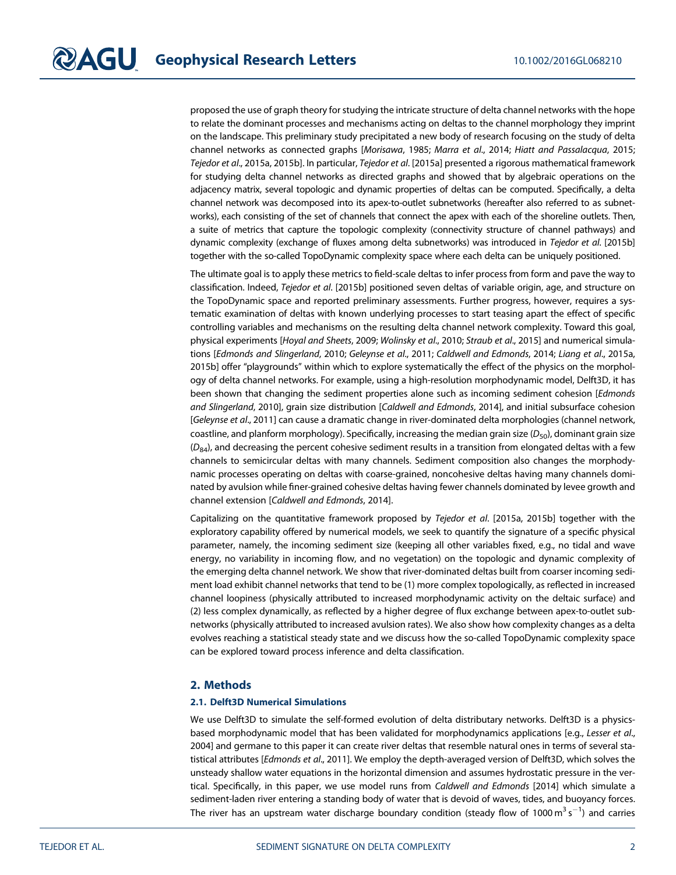proposed the use of graph theory for studying the intricate structure of delta channel networks with the hope to relate the dominant processes and mechanisms acting on deltas to the channel morphology they imprint on the landscape. This preliminary study precipitated a new body of research focusing on the study of delta channel networks as connected graphs [Morisawa, 1985; Marra et al., 2014; Hiatt and Passalacqua, 2015; Tejedor et al., 2015a, 2015b]. In particular, Tejedor et al. [2015a] presented a rigorous mathematical framework for studying delta channel networks as directed graphs and showed that by algebraic operations on the adjacency matrix, several topologic and dynamic properties of deltas can be computed. Specifically, a delta channel network was decomposed into its apex-to-outlet subnetworks (hereafter also referred to as subnetworks), each consisting of the set of channels that connect the apex with each of the shoreline outlets. Then, a suite of metrics that capture the topologic complexity (connectivity structure of channel pathways) and dynamic complexity (exchange of fluxes among delta subnetworks) was introduced in Tejedor et al. [2015b] together with the so-called TopoDynamic complexity space where each delta can be uniquely positioned.

The ultimate goal is to apply these metrics to field-scale deltas to infer process from form and pave the way to classification. Indeed, Tejedor et al. [2015b] positioned seven deltas of variable origin, age, and structure on the TopoDynamic space and reported preliminary assessments. Further progress, however, requires a systematic examination of deltas with known underlying processes to start teasing apart the effect of specific controlling variables and mechanisms on the resulting delta channel network complexity. Toward this goal, physical experiments [Hoyal and Sheets, 2009; Wolinsky et al., 2010; Straub et al., 2015] and numerical simulations [Edmonds and Slingerland, 2010; Geleynse et al., 2011; Caldwell and Edmonds, 2014; Liang et al., 2015a, 2015b] offer "playgrounds" within which to explore systematically the effect of the physics on the morphology of delta channel networks. For example, using a high-resolution morphodynamic model, Delft3D, it has been shown that changing the sediment properties alone such as incoming sediment cohesion [Edmonds and Slingerland, 2010], grain size distribution [Caldwell and Edmonds, 2014], and initial subsurface cohesion [Geleynse et al., 2011] can cause a dramatic change in river-dominated delta morphologies (channel network, coastline, and planform morphology). Specifically, increasing the median grain size ( $D_{50}$ ), dominant grain size  $(D<sub>84</sub>)$ , and decreasing the percent cohesive sediment results in a transition from elongated deltas with a few channels to semicircular deltas with many channels. Sediment composition also changes the morphodynamic processes operating on deltas with coarse-grained, noncohesive deltas having many channels dominated by avulsion while finer-grained cohesive deltas having fewer channels dominated by levee growth and channel extension [Caldwell and Edmonds, 2014].

Capitalizing on the quantitative framework proposed by Tejedor et al. [2015a, 2015b] together with the exploratory capability offered by numerical models, we seek to quantify the signature of a specific physical parameter, namely, the incoming sediment size (keeping all other variables fixed, e.g., no tidal and wave energy, no variability in incoming flow, and no vegetation) on the topologic and dynamic complexity of the emerging delta channel network. We show that river-dominated deltas built from coarser incoming sediment load exhibit channel networks that tend to be (1) more complex topologically, as reflected in increased channel loopiness (physically attributed to increased morphodynamic activity on the deltaic surface) and (2) less complex dynamically, as reflected by a higher degree of flux exchange between apex-to-outlet subnetworks (physically attributed to increased avulsion rates). We also show how complexity changes as a delta evolves reaching a statistical steady state and we discuss how the so-called TopoDynamic complexity space can be explored toward process inference and delta classification.

#### 2. Methods

#### 2.1. Delft3D Numerical Simulations

We use Delft3D to simulate the self-formed evolution of delta distributary networks. Delft3D is a physicsbased morphodynamic model that has been validated for morphodynamics applications [e.g., Lesser et al., 2004] and germane to this paper it can create river deltas that resemble natural ones in terms of several statistical attributes [Edmonds et al., 2011]. We employ the depth-averaged version of Delft3D, which solves the unsteady shallow water equations in the horizontal dimension and assumes hydrostatic pressure in the vertical. Specifically, in this paper, we use model runs from Caldwell and Edmonds [2014] which simulate a sediment-laden river entering a standing body of water that is devoid of waves, tides, and buoyancy forces. The river has an upstream water discharge boundary condition (steady flow of 1000  $\text{m}^{3}\,\text{s}^{-1}$ ) and carries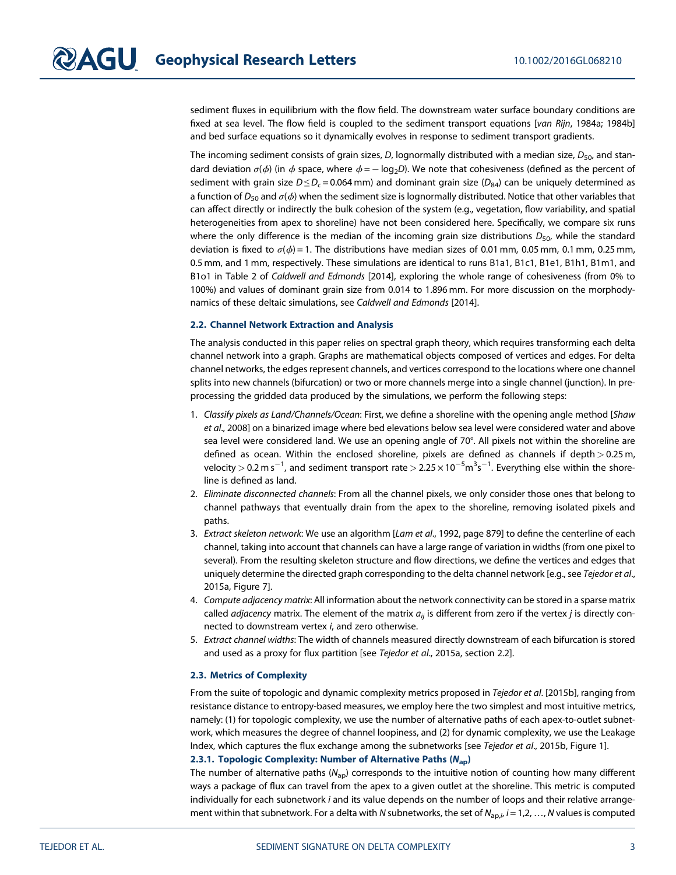sediment fluxes in equilibrium with the flow field. The downstream water surface boundary conditions are fixed at sea level. The flow field is coupled to the sediment transport equations [van Rijn, 1984a; 1984b] and bed surface equations so it dynamically evolves in response to sediment transport gradients.

The incoming sediment consists of grain sizes, D, lognormally distributed with a median size,  $D_{50}$ , and standard deviation  $\sigma(\phi)$  (in  $\phi$  space, where  $\phi = -\log_2 D$ ). We note that cohesiveness (defined as the percent of sediment with grain size  $D \le D_c = 0.064$  mm) and dominant grain size ( $D_{84}$ ) can be uniquely determined as a function of  $D_{50}$  and  $\sigma(\phi)$  when the sediment size is lognormally distributed. Notice that other variables that can affect directly or indirectly the bulk cohesion of the system (e.g., vegetation, flow variability, and spatial heterogeneities from apex to shoreline) have not been considered here. Specifically, we compare six runs where the only difference is the median of the incoming grain size distributions  $D_{50}$ , while the standard deviation is fixed to  $\sigma(\phi)$  = 1. The distributions have median sizes of 0.01 mm, 0.05 mm, 0.1 mm, 0.25 mm, 0.5 mm, and 1 mm, respectively. These simulations are identical to runs B1a1, B1c1, B1e1, B1h1, B1m1, and B1o1 in Table 2 of Caldwell and Edmonds [2014], exploring the whole range of cohesiveness (from 0% to 100%) and values of dominant grain size from 0.014 to 1.896 mm. For more discussion on the morphodynamics of these deltaic simulations, see Caldwell and Edmonds [2014].

#### 2.2. Channel Network Extraction and Analysis

The analysis conducted in this paper relies on spectral graph theory, which requires transforming each delta channel network into a graph. Graphs are mathematical objects composed of vertices and edges. For delta channel networks, the edges represent channels, and vertices correspond to the locations where one channel splits into new channels (bifurcation) or two or more channels merge into a single channel (junction). In preprocessing the gridded data produced by the simulations, we perform the following steps:

- 1. Classify pixels as Land/Channels/Ocean: First, we define a shoreline with the opening angle method [Shaw et al., 2008] on a binarized image where bed elevations below sea level were considered water and above sea level were considered land. We use an opening angle of 70°. All pixels not within the shoreline are defined as ocean. Within the enclosed shoreline, pixels are defined as channels if depth > 0.25 m, velocity > 0.2 m s<sup>-1</sup>, and sediment transport rate > 2.25  $\times$  10<sup>-5</sup>m<sup>3</sup>s<sup>-1</sup>. Everything else within the shoreline is defined as land.
- 2. Eliminate disconnected channels: From all the channel pixels, we only consider those ones that belong to channel pathways that eventually drain from the apex to the shoreline, removing isolated pixels and paths.
- 3. Extract skeleton network: We use an algorithm [Lam et al., 1992, page 879] to define the centerline of each channel, taking into account that channels can have a large range of variation in widths (from one pixel to several). From the resulting skeleton structure and flow directions, we define the vertices and edges that uniquely determine the directed graph corresponding to the delta channel network [e.g., see Tejedor et al., 2015a, Figure 7].
- 4. Compute adjacency matrix: All information about the network connectivity can be stored in a sparse matrix called *adjacency* matrix. The element of the matrix  $a_{ii}$  is different from zero if the vertex *j* is directly connected to downstream vertex i, and zero otherwise.
- 5. Extract channel widths: The width of channels measured directly downstream of each bifurcation is stored and used as a proxy for flux partition [see Tejedor et al., 2015a, section 2.2].

#### 2.3. Metrics of Complexity

From the suite of topologic and dynamic complexity metrics proposed in Tejedor et al. [2015b], ranging from resistance distance to entropy-based measures, we employ here the two simplest and most intuitive metrics, namely: (1) for topologic complexity, we use the number of alternative paths of each apex-to-outlet subnetwork, which measures the degree of channel loopiness, and (2) for dynamic complexity, we use the Leakage Index, which captures the flux exchange among the subnetworks [see Tejedor et al., 2015b, Figure 1]. 2.3.1. Topologic Complexity: Number of Alternative Paths  $(N_{ap})$ 

The number of alternative paths  $(N_{\text{ao}})$  corresponds to the intuitive notion of counting how many different ways a package of flux can travel from the apex to a given outlet at the shoreline. This metric is computed individually for each subnetwork i and its value depends on the number of loops and their relative arrangement within that subnetwork. For a delta with N subnetworks, the set of  $N_{\sf ap,ir}$  i = 1,2, …, N values is computed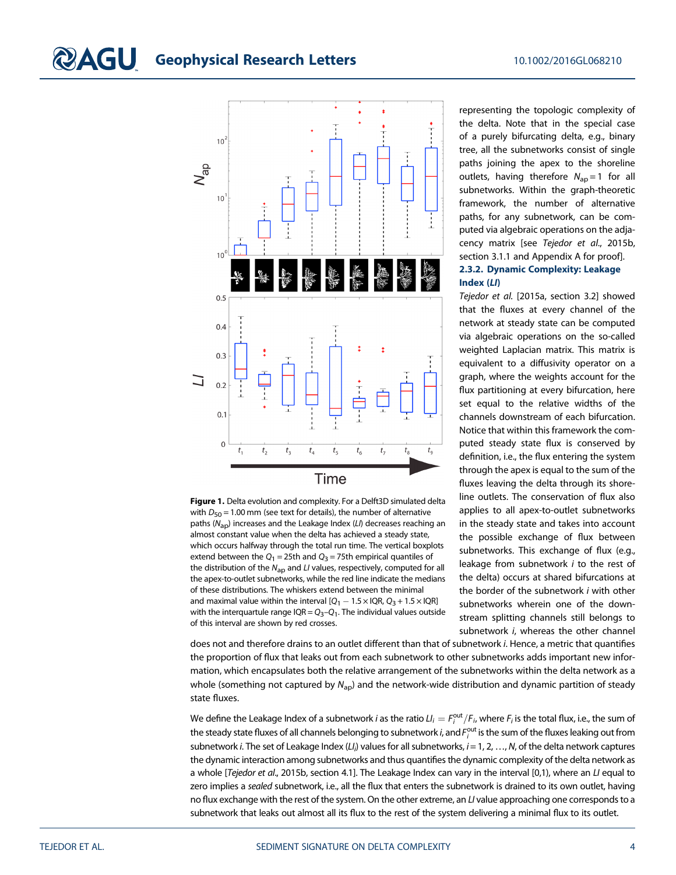Geophysical Research Letters 10.1002/2016GL068210

**QAGU** 



Figure 1. Delta evolution and complexity. For a Delft3D simulated delta with  $D_{50}$  = 1.00 mm (see text for details), the number of alternative paths ( $N_{\rm ap}$ ) increases and the Leakage Index (LI) decreases reaching an almost constant value when the delta has achieved a steady state, which occurs halfway through the total run time. The vertical boxplots extend between the  $Q_1 = 25$ th and  $Q_3 = 75$ th empirical quantiles of the distribution of the  $N_{\text{ap}}$  and LI values, respectively, computed for all the apex-to-outlet subnetworks, while the red line indicate the medians of these distributions. The whiskers extend between the minimal and maximal value within the interval  $[Q_1 - 1.5 \times IQR, Q_3 + 1.5 \times IQR]$ with the interquartule range  $IQR = Q_3 - Q_1$ . The individual values outside of this interval are shown by red crosses.

representing the topologic complexity of the delta. Note that in the special case of a purely bifurcating delta, e.g., binary tree, all the subnetworks consist of single paths joining the apex to the shoreline outlets, having therefore  $N_{ap} = 1$  for all subnetworks. Within the graph-theoretic framework, the number of alternative paths, for any subnetwork, can be computed via algebraic operations on the adjacency matrix [see Tejedor et al., 2015b, section 3.1.1 and Appendix A for proof]. 2.3.2. Dynamic Complexity: Leakage Index (LI)

Tejedor et al. [2015a, section 3.2] showed that the fluxes at every channel of the network at steady state can be computed via algebraic operations on the so-called weighted Laplacian matrix. This matrix is equivalent to a diffusivity operator on a graph, where the weights account for the flux partitioning at every bifurcation, here set equal to the relative widths of the channels downstream of each bifurcation. Notice that within this framework the computed steady state flux is conserved by definition, i.e., the flux entering the system through the apex is equal to the sum of the fluxes leaving the delta through its shoreline outlets. The conservation of flux also applies to all apex-to-outlet subnetworks in the steady state and takes into account the possible exchange of flux between subnetworks. This exchange of flux (e.g., leakage from subnetwork  $i$  to the rest of the delta) occurs at shared bifurcations at the border of the subnetwork i with other subnetworks wherein one of the downstream splitting channels still belongs to subnetwork *i*, whereas the other channel

does not and therefore drains to an outlet different than that of subnetwork i. Hence, a metric that quantifies the proportion of flux that leaks out from each subnetwork to other subnetworks adds important new information, which encapsulates both the relative arrangement of the subnetworks within the delta network as a whole (something not captured by  $N_{\text{ap}}$ ) and the network-wide distribution and dynamic partition of steady state fluxes.

We define the Leakage Index of a subnetwork  $i$  as the ratio  $LI_i = F_i^{\text{out}}/F_i$ , where  $F_i$  is the total flux, i.e., the sum of the steady state fluxes of all channels belonging to subnetwork  $i$ , and  $F_i^{\rm out}$  is the sum of the fluxes leaking out from subnetwork  $i$ . The set of Leakage Index ( $L$ I $_{\rm i}$ ) values for all subnetworks,  $i$  = 1, 2,  $\dots$ , N, of the delta network captures the dynamic interaction among subnetworks and thus quantifies the dynamic complexity of the delta network as a whole [Tejedor et al., 2015b, section 4.1]. The Leakage Index can vary in the interval [0,1), where an LI equal to zero implies a sealed subnetwork, i.e., all the flux that enters the subnetwork is drained to its own outlet, having no flux exchange with the rest of the system. On the other extreme, an LI value approaching one corresponds to a subnetwork that leaks out almost all its flux to the rest of the system delivering a minimal flux to its outlet.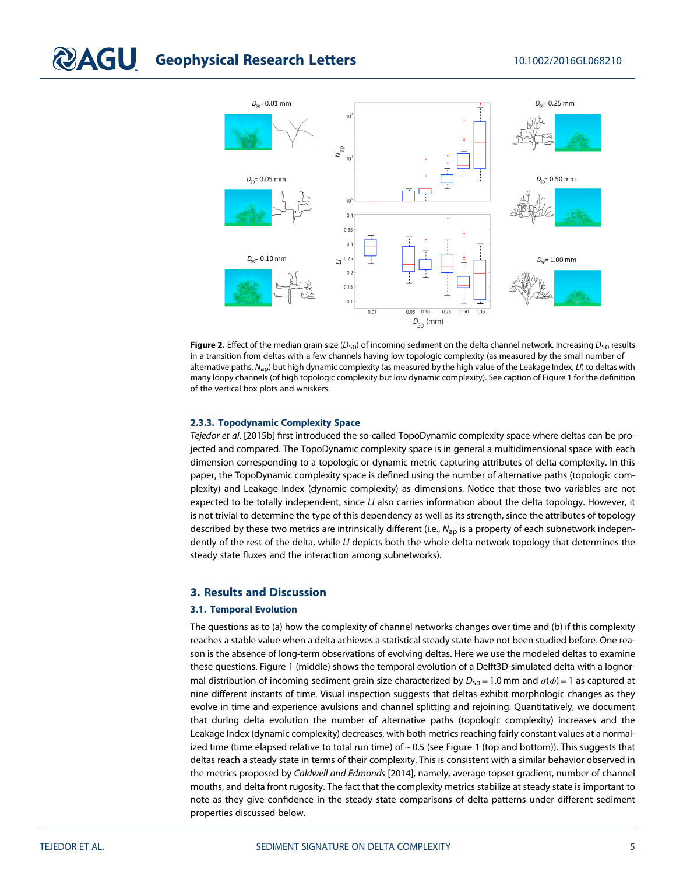## **QAGU** Geophysical Research Letters 10.1002/2016GL068210



Figure 2. Effect of the median grain size ( $D_{50}$ ) of incoming sediment on the delta channel network. Increasing  $D_{50}$  results in a transition from deltas with a few channels having low topologic complexity (as measured by the small number of alternative paths,  $N_{AD}$ ) but high dynamic complexity (as measured by the high value of the Leakage Index, LI) to deltas with many loopy channels (of high topologic complexity but low dynamic complexity). See caption of Figure 1 for the definition of the vertical box plots and whiskers.

#### 2.3.3. Topodynamic Complexity Space

Tejedor et al. [2015b] first introduced the so-called TopoDynamic complexity space where deltas can be projected and compared. The TopoDynamic complexity space is in general a multidimensional space with each dimension corresponding to a topologic or dynamic metric capturing attributes of delta complexity. In this paper, the TopoDynamic complexity space is defined using the number of alternative paths (topologic complexity) and Leakage Index (dynamic complexity) as dimensions. Notice that those two variables are not expected to be totally independent, since LI also carries information about the delta topology. However, it is not trivial to determine the type of this dependency as well as its strength, since the attributes of topology described by these two metrics are intrinsically different (i.e.,  $N_{\rm ap}$  is a property of each subnetwork independently of the rest of the delta, while LI depicts both the whole delta network topology that determines the steady state fluxes and the interaction among subnetworks).

#### 3. Results and Discussion

#### 3.1. Temporal Evolution

The questions as to (a) how the complexity of channel networks changes over time and (b) if this complexity reaches a stable value when a delta achieves a statistical steady state have not been studied before. One reason is the absence of long-term observations of evolving deltas. Here we use the modeled deltas to examine these questions. Figure 1 (middle) shows the temporal evolution of a Delft3D-simulated delta with a lognormal distribution of incoming sediment grain size characterized by  $D_{50} = 1.0$  mm and  $\sigma(\phi) = 1$  as captured at nine different instants of time. Visual inspection suggests that deltas exhibit morphologic changes as they evolve in time and experience avulsions and channel splitting and rejoining. Quantitatively, we document that during delta evolution the number of alternative paths (topologic complexity) increases and the Leakage Index (dynamic complexity) decreases, with both metrics reaching fairly constant values at a normalized time (time elapsed relative to total run time) of ~ 0.5 (see Figure 1 (top and bottom)). This suggests that deltas reach a steady state in terms of their complexity. This is consistent with a similar behavior observed in the metrics proposed by Caldwell and Edmonds [2014], namely, average topset gradient, number of channel mouths, and delta front rugosity. The fact that the complexity metrics stabilize at steady state is important to note as they give confidence in the steady state comparisons of delta patterns under different sediment properties discussed below.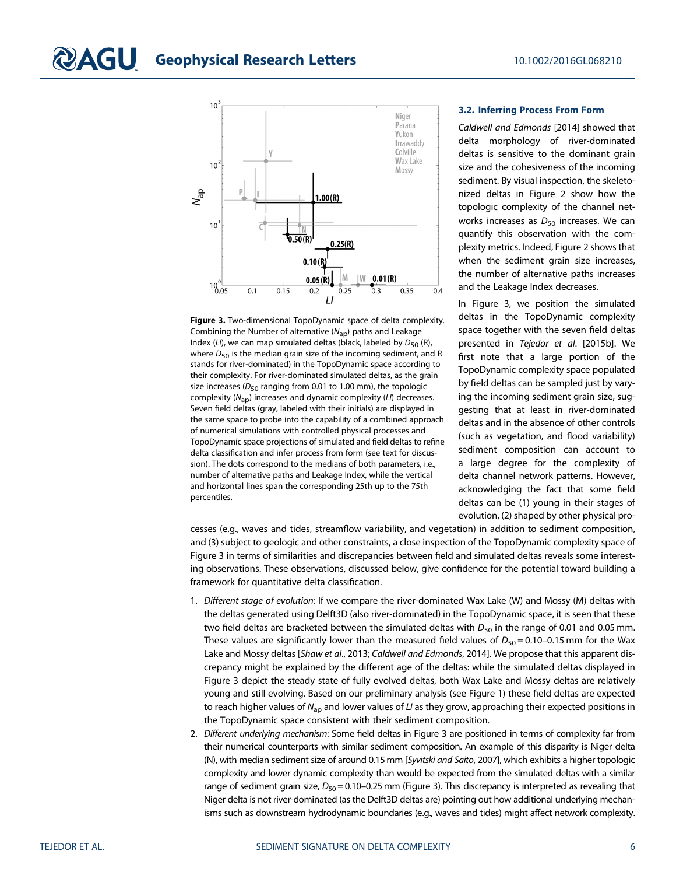

Figure 3. Two-dimensional TopoDynamic space of delta complexity. Combining the Number of alternative  $(N_{\rm ap})$  paths and Leakage Index (LI), we can map simulated deltas (black, labeled by  $D_{50}$  (R), where  $D_{50}$  is the median grain size of the incoming sediment, and R stands for river-dominated) in the TopoDynamic space according to their complexity. For river-dominated simulated deltas, as the grain size increases ( $D_{50}$  ranging from 0.01 to 1.00 mm), the topologic complexity  $(N_{\rm ap})$  increases and dynamic complexity (LI) decreases. Seven field deltas (gray, labeled with their initials) are displayed in the same space to probe into the capability of a combined approach of numerical simulations with controlled physical processes and TopoDynamic space projections of simulated and field deltas to refine delta classification and infer process from form (see text for discussion). The dots correspond to the medians of both parameters, i.e., number of alternative paths and Leakage Index, while the vertical and horizontal lines span the corresponding 25th up to the 75th percentiles.

#### 3.2. Inferring Process From Form

Caldwell and Edmonds [2014] showed that delta morphology of river-dominated deltas is sensitive to the dominant grain size and the cohesiveness of the incoming sediment. By visual inspection, the skeletonized deltas in Figure 2 show how the topologic complexity of the channel networks increases as  $D_{50}$  increases. We can quantify this observation with the complexity metrics. Indeed, Figure 2 shows that when the sediment grain size increases, the number of alternative paths increases and the Leakage Index decreases.

In Figure 3, we position the simulated deltas in the TopoDynamic complexity space together with the seven field deltas presented in Tejedor et al. [2015b]. We first note that a large portion of the TopoDynamic complexity space populated by field deltas can be sampled just by varying the incoming sediment grain size, suggesting that at least in river-dominated deltas and in the absence of other controls (such as vegetation, and flood variability) sediment composition can account to a large degree for the complexity of delta channel network patterns. However, acknowledging the fact that some field deltas can be (1) young in their stages of evolution, (2) shaped by other physical pro-

cesses (e.g., waves and tides, streamflow variability, and vegetation) in addition to sediment composition, and (3) subject to geologic and other constraints, a close inspection of the TopoDynamic complexity space of Figure 3 in terms of similarities and discrepancies between field and simulated deltas reveals some interesting observations. These observations, discussed below, give confidence for the potential toward building a framework for quantitative delta classification.

- 1. Different stage of evolution: If we compare the river-dominated Wax Lake (W) and Mossy (M) deltas with the deltas generated using Delft3D (also river-dominated) in the TopoDynamic space, it is seen that these two field deltas are bracketed between the simulated deltas with  $D_{50}$  in the range of 0.01 and 0.05 mm. These values are significantly lower than the measured field values of  $D_{50} = 0.10-0.15$  mm for the Wax Lake and Mossy deltas [Shaw et al., 2013; Caldwell and Edmonds, 2014]. We propose that this apparent discrepancy might be explained by the different age of the deltas: while the simulated deltas displayed in Figure 3 depict the steady state of fully evolved deltas, both Wax Lake and Mossy deltas are relatively young and still evolving. Based on our preliminary analysis (see Figure 1) these field deltas are expected to reach higher values of  $N_{ap}$  and lower values of LI as they grow, approaching their expected positions in the TopoDynamic space consistent with their sediment composition.
- 2. Different underlying mechanism: Some field deltas in Figure 3 are positioned in terms of complexity far from their numerical counterparts with similar sediment composition. An example of this disparity is Niger delta (N), with median sediment size of around 0.15 mm [Syvitski and Saito, 2007], which exhibits a higher topologic complexity and lower dynamic complexity than would be expected from the simulated deltas with a similar range of sediment grain size,  $D_{50} = 0.10-0.25$  mm (Figure 3). This discrepancy is interpreted as revealing that Niger delta is not river-dominated (as the Delft3D deltas are) pointing out how additional underlying mechanisms such as downstream hydrodynamic boundaries (e.g., waves and tides) might affect network complexity.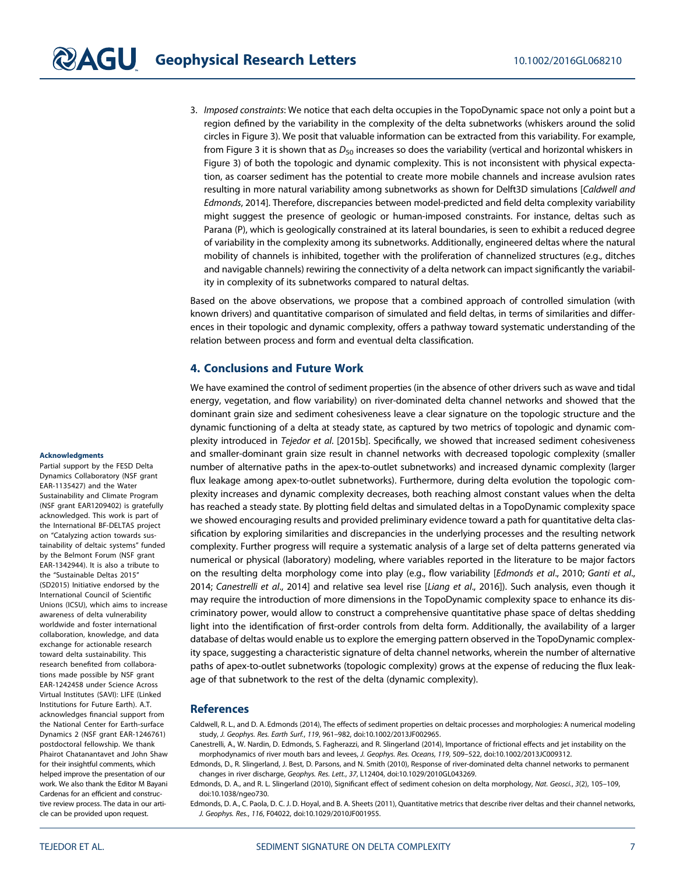3. Imposed constraints: We notice that each delta occupies in the TopoDynamic space not only a point but a region defined by the variability in the complexity of the delta subnetworks (whiskers around the solid circles in Figure 3). We posit that valuable information can be extracted from this variability. For example, from Figure 3 it is shown that as  $D_{50}$  increases so does the variability (vertical and horizontal whiskers in Figure 3) of both the topologic and dynamic complexity. This is not inconsistent with physical expectation, as coarser sediment has the potential to create more mobile channels and increase avulsion rates resulting in more natural variability among subnetworks as shown for Delft3D simulations [Caldwell and Edmonds, 2014]. Therefore, discrepancies between model-predicted and field delta complexity variability might suggest the presence of geologic or human-imposed constraints. For instance, deltas such as Parana (P), which is geologically constrained at its lateral boundaries, is seen to exhibit a reduced degree of variability in the complexity among its subnetworks. Additionally, engineered deltas where the natural mobility of channels is inhibited, together with the proliferation of channelized structures (e.g., ditches and navigable channels) rewiring the connectivity of a delta network can impact significantly the variability in complexity of its subnetworks compared to natural deltas.

Based on the above observations, we propose that a combined approach of controlled simulation (with known drivers) and quantitative comparison of simulated and field deltas, in terms of similarities and differences in their topologic and dynamic complexity, offers a pathway toward systematic understanding of the relation between process and form and eventual delta classification.

#### 4. Conclusions and Future Work

We have examined the control of sediment properties (in the absence of other drivers such as wave and tidal energy, vegetation, and flow variability) on river-dominated delta channel networks and showed that the dominant grain size and sediment cohesiveness leave a clear signature on the topologic structure and the dynamic functioning of a delta at steady state, as captured by two metrics of topologic and dynamic complexity introduced in Tejedor et al. [2015b]. Specifically, we showed that increased sediment cohesiveness and smaller-dominant grain size result in channel networks with decreased topologic complexity (smaller number of alternative paths in the apex-to-outlet subnetworks) and increased dynamic complexity (larger flux leakage among apex-to-outlet subnetworks). Furthermore, during delta evolution the topologic complexity increases and dynamic complexity decreases, both reaching almost constant values when the delta has reached a steady state. By plotting field deltas and simulated deltas in a TopoDynamic complexity space we showed encouraging results and provided preliminary evidence toward a path for quantitative delta classification by exploring similarities and discrepancies in the underlying processes and the resulting network complexity. Further progress will require a systematic analysis of a large set of delta patterns generated via numerical or physical (laboratory) modeling, where variables reported in the literature to be major factors on the resulting delta morphology come into play (e.g., flow variability [Edmonds et al., 2010; Ganti et al., 2014; Canestrelli et al., 2014] and relative sea level rise [Liang et al., 2016]). Such analysis, even though it may require the introduction of more dimensions in the TopoDynamic complexity space to enhance its discriminatory power, would allow to construct a comprehensive quantitative phase space of deltas shedding light into the identification of first-order controls from delta form. Additionally, the availability of a larger database of deltas would enable us to explore the emerging pattern observed in the TopoDynamic complexity space, suggesting a characteristic signature of delta channel networks, wherein the number of alternative paths of apex-to-outlet subnetworks (topologic complexity) grows at the expense of reducing the flux leakage of that subnetwork to the rest of the delta (dynamic complexity).

#### **References**

Caldwell, R. L., and D. A. Edmonds (2014), The effects of sediment properties on deltaic processes and morphologies: A numerical modeling study, J. Geophys. Res. Earth Surf., 119, 961–982, doi[:10.1002/2013JF002965](http://dx.doi.org/10.1002/2013JF002965).

Canestrelli, A., W. Nardin, D. Edmonds, S. Fagherazzi, and R. Slingerland (2014), Importance of frictional effects and jet instability on the morphodynamics of river mouth bars and levees, J. Geophys. Res. Oceans, 119, 509–522, doi[:10.1002/2013JC009312.](http://dx.doi.org/10.1002/2013JC009312)

Edmonds, D., R. Slingerland, J. Best, D. Parsons, and N. Smith (2010), Response of river-dominated delta channel networks to permanent changes in river discharge, Geophys. Res. Lett., 37, L12404, doi[:10.1029/2010GL043269](http://dx.doi.org/10.1029/2010GL043269).

Edmonds, D. A., and R. L. Slingerland (2010), Significant effect of sediment cohesion on delta morphology, Nat. Geosci., 3(2), 105–109, doi[:10.1038/ngeo730](http://dx.doi.org/10.1038/ngeo730).

Edmonds, D. A., C. Paola, D. C. J. D. Hoyal, and B. A. Sheets (2011), Quantitative metrics that describe river deltas and their channel networks, J. Geophys. Res., 116, F04022, doi:[10.1029/2010JF001955.](http://dx.doi.org/10.1029/2010JF001955)

#### **Acknowledaments**

Partial support by the FESD Delta Dynamics Collaboratory (NSF grant EAR-1135427) and the Water Sustainability and Climate Program (NSF grant EAR1209402) is gratefully acknowledged. This work is part of the International BF-DELTAS project on "Catalyzing action towards sustainability of deltaic systems" funded by the Belmont Forum (NSF grant EAR-1342944). It is also a tribute to the "Sustainable Deltas 2015" (SD2015) Initiative endorsed by the International Council of Scientific Unions (ICSU), which aims to increase awareness of delta vulnerability worldwide and foster international collaboration, knowledge, and data exchange for actionable research toward delta sustainability. This research benefited from collaborations made possible by NSF grant EAR-1242458 under Science Across Virtual Institutes (SAVI): LIFE (Linked Institutions for Future Earth). A.T. acknowledges financial support from the National Center for Earth-surface Dynamics 2 (NSF grant EAR-1246761) postdoctoral fellowship. We thank Phairot Chatanantavet and John Shaw for their insightful comments, which helped improve the presentation of our work. We also thank the Editor M Bayani Cardenas for an efficient and constructive review process. The data in our article can be provided upon request.